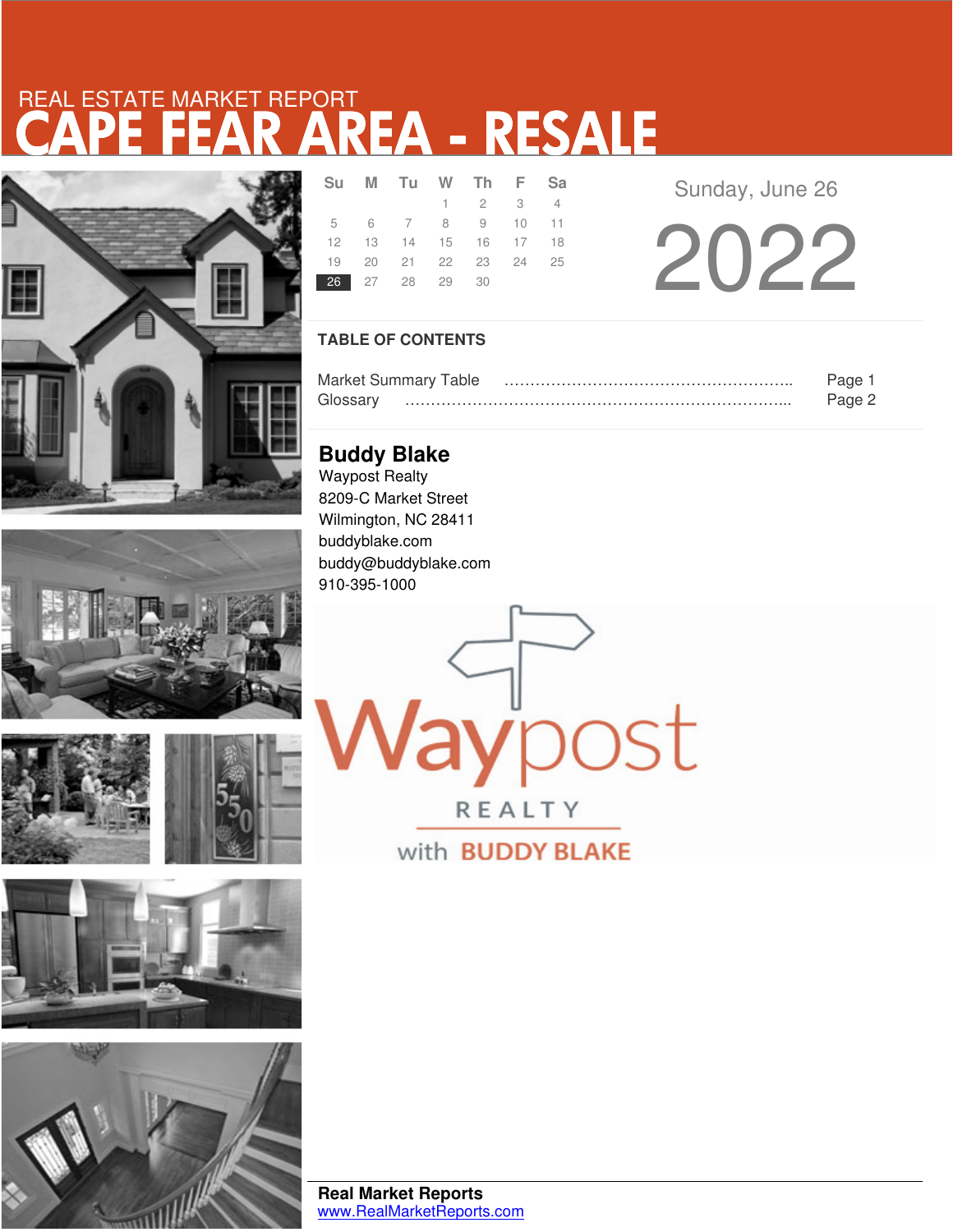# CAPE FEAR AREA - RESALE REAL ESTATE MARKET REPORT











|                | Su M Tu W Th F Sa          |                             |  |
|----------------|----------------------------|-----------------------------|--|
|                |                            | $1 \quad 2 \quad 3 \quad 4$ |  |
|                | 5 6 7 8 9 10 11            |                             |  |
|                | 12  13  14  15  16  17  18 |                             |  |
|                | 19 20 21 22 23 24 25       |                             |  |
| 26 27 28 29 30 |                            |                             |  |

Sunday, June 26

2022

### **TABLE OF CONTENTS**

|          | <b>Market Summary Table</b> | Page   |
|----------|-----------------------------|--------|
| Glossarv |                             | Page 2 |

**Buddy Blake** Waypost Realty 8209-C Market Street Wilmington, NC 28411 buddyblake.com buddy@buddyblake.com 910-395-1000

aypost

REALTY with **BUDDY BLAKE**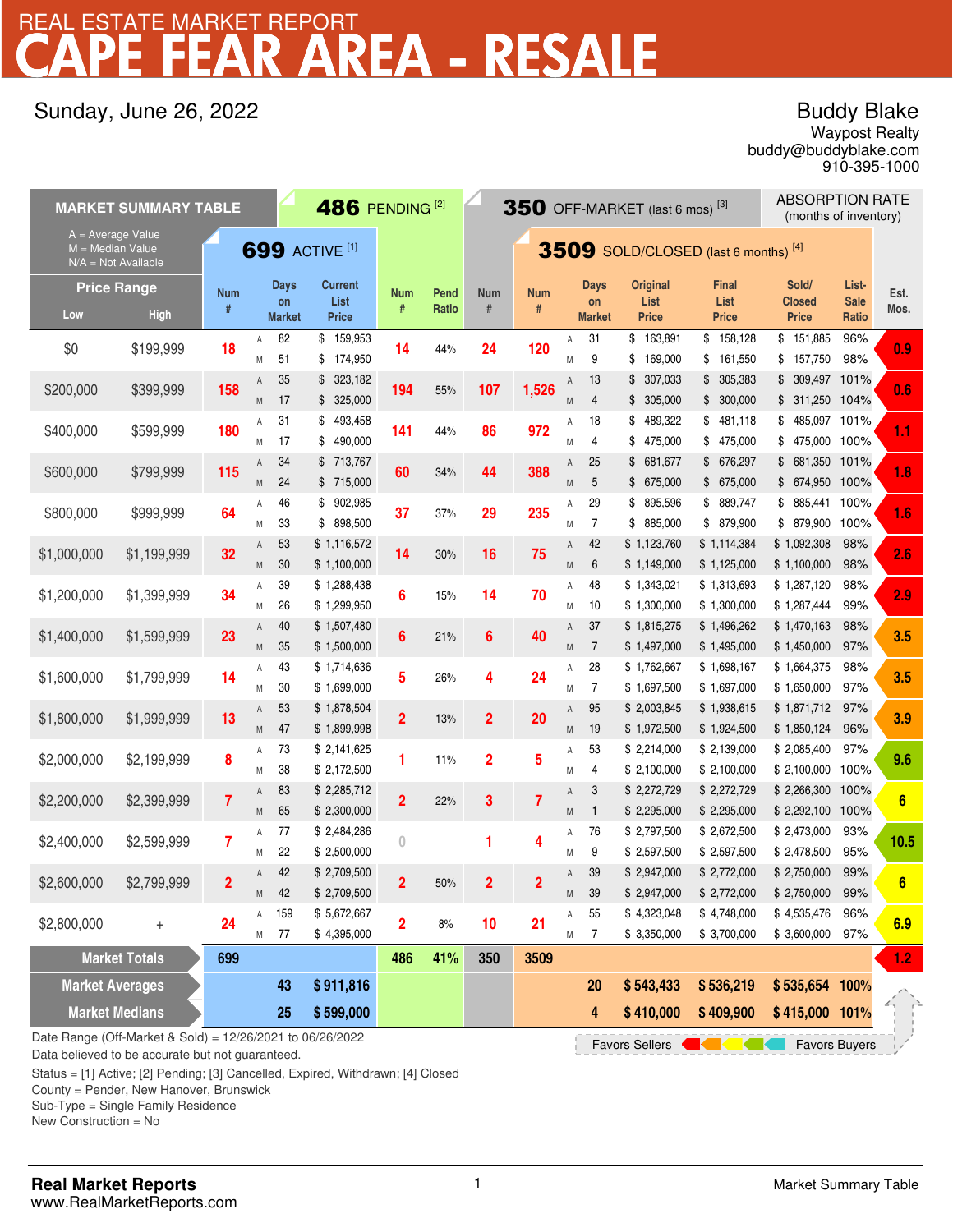## REA - RESALE REAL ESTATE MARKET REPORT

## Sunday, June 26, 2022

## Buddy Blake

buddy@buddyblake.com Waypost Realty 910-395-1000

| <b>486 PENDING [2]</b><br><b>MARKET SUMMARY TABLE</b>                                     |                                                                                                                             |                 |        |                                    |                                 | $350$ OFF-MARKET (last 6 mos) <sup>[3]</sup> |                                      |                 |                 |        |                             | <b>ABSORPTION RATE</b><br>(months of inventory) |                               |                                       |                               |                  |
|-------------------------------------------------------------------------------------------|-----------------------------------------------------------------------------------------------------------------------------|-----------------|--------|------------------------------------|---------------------------------|----------------------------------------------|--------------------------------------|-----------------|-----------------|--------|-----------------------------|-------------------------------------------------|-------------------------------|---------------------------------------|-------------------------------|------------------|
| A = Average Value<br><b>699 ACTIVE [1]</b><br>$M = Median Value$<br>$N/A = Not Available$ |                                                                                                                             |                 |        |                                    |                                 |                                              | 3509 SOLD/CLOSED (last 6 months) [4] |                 |                 |        |                             |                                                 |                               |                                       |                               |                  |
| <b>Price Range</b><br>Low                                                                 | <b>High</b>                                                                                                                 | <b>Num</b><br># |        | <b>Days</b><br>on<br><b>Market</b> | <b>Current</b><br>List<br>Price | Num<br>#                                     | Pend<br>Ratio                        | <b>Num</b><br># | <b>Num</b><br># |        | Days<br>on<br><b>Market</b> | <b>Original</b><br>List<br><b>Price</b>         | Final<br>List<br><b>Price</b> | Sold/<br>Closed<br><b>Price</b>       | List-<br><b>Sale</b><br>Ratio | Est.<br>Mos.     |
| \$0                                                                                       | \$199,999                                                                                                                   | 18              | Α<br>M | 82<br>51                           | \$159,953<br>174,950<br>\$      | 14                                           | 44%                                  | 24              | 120             | Α<br>M | 31<br>9                     | \$163,891<br>169,000<br>\$                      | \$158,128<br>\$161,550        | \$151,885<br>\$157,750                | 96%<br>98%                    | 0.9              |
| \$200,000                                                                                 | \$399,999                                                                                                                   | 158             | Α<br>M | 35<br>17                           | \$323,182<br>\$325,000          | 194                                          | 55%                                  | 107             | 1,526           | Α<br>M | 13<br>4                     | 307,033<br>\$<br>\$305,000                      | \$305,383<br>\$300,000        | \$ 309,497 101%<br>\$ 311,250 104%    |                               | 0.6              |
| \$400,000                                                                                 | \$599,999                                                                                                                   | 180             | Α<br>Μ | 31<br>17                           | 493,458<br>\$<br>490,000<br>\$  | 141                                          | 44%                                  | 86              | 972             | Α<br>M | 18<br>4                     | 489,322<br>\$<br>475,000<br>\$                  | \$481,118<br>\$475,000        | 485,097 101%<br>\$<br>\$475,000 100%  |                               | 1.1              |
| \$600,000                                                                                 | \$799,999                                                                                                                   | 115             | Α<br>M | 34<br>24                           | \$713,767<br>\$ 715,000         | 60                                           | 34%                                  | 44              | 388             | Α<br>M | 25<br>5                     | 681,677<br>\$<br>\$675,000                      | \$ 676,297<br>\$675,000       | 681,350 101%<br>\$<br>\$ 674,950 100% |                               | 1.8              |
| \$800,000                                                                                 | \$999,999                                                                                                                   | 64              | Α<br>M | 46<br>33                           | \$902,985<br>898,500<br>\$      | 37                                           | 37%                                  | 29              | 235             | Α<br>M | 29<br>7                     | \$ 895,596<br>885,000<br>\$                     | \$ 889,747<br>\$ 879,900      | \$ 885,441 100%<br>\$ 879,900         | 100%                          | 1.6              |
| \$1,000,000                                                                               | \$1,199,999                                                                                                                 | 32              | Α<br>M | 53<br>30                           | \$1,116,572<br>\$1,100,000      | 14                                           | 30%                                  | 16              | 75              | A<br>M | 42<br>6                     | \$1,123,760<br>\$1,149,000                      | \$1,114,384<br>\$1,125,000    | \$1,092,308<br>\$1,100,000            | 98%<br>98%                    | 2.6              |
| \$1,200,000                                                                               | \$1,399,999                                                                                                                 | 34              | Α<br>Μ | 39<br>26                           | \$1,288,438<br>\$1,299,950      | 6                                            | 15%                                  | 14              | 70              | Α<br>M | 48<br>10                    | \$1,343,021<br>\$1,300,000                      | \$1,313,693<br>\$1,300,000    | \$1,287,120<br>\$1,287,444            | 98%<br>99%                    | 2.9              |
| \$1,400,000                                                                               | \$1,599,999                                                                                                                 | 23              | A<br>M | 40<br>35                           | \$1,507,480<br>\$1,500,000      | 6                                            | 21%                                  | $6\phantom{a}$  | 40              | A<br>M | 37<br>$\overline{7}$        | \$1,815,275<br>\$1,497,000                      | \$1,496,262<br>\$1,495,000    | \$1,470,163<br>\$1,450,000            | 98%<br>97%                    | 3.5              |
| \$1,600,000                                                                               | \$1,799,999                                                                                                                 | 14              | Α<br>M | 43<br>30                           | \$1,714,636<br>\$1,699,000      | 5                                            | 26%                                  | 4               | 24              | Α<br>M | 28<br>$\overline{7}$        | \$1,762,667<br>\$1,697,500                      | \$1,698,167<br>\$1,697,000    | \$1,664,375<br>\$1,650,000            | 98%<br>97%                    | 3.5              |
| \$1,800,000                                                                               | \$1,999,999                                                                                                                 | 13              | Α<br>M | 53<br>47                           | \$1,878,504<br>\$1,899,998      | $\overline{2}$                               | 13%                                  | $\overline{2}$  | 20              | Α<br>M | 95<br>19                    | \$2,003,845<br>\$1,972,500                      | \$1,938,615<br>\$1,924,500    | \$1,871,712<br>\$1,850,124            | 97%<br>96%                    | 3.9              |
| \$2,000,000                                                                               | \$2,199,999                                                                                                                 | 8               | Α<br>M | 73<br>38                           | \$2,141,625<br>\$2,172,500      | 1                                            | 11%                                  | $\overline{2}$  | 5               | А<br>M | 53<br>4                     | \$2,214,000<br>\$2,100,000                      | \$2,139,000<br>\$2,100,000    | \$2,085,400<br>\$2,100,000            | 97%<br>100%                   | 9.6              |
| \$2,200,000                                                                               | \$2,399,999                                                                                                                 | $\overline{7}$  | Α<br>M | 83<br>65                           | \$2,285,712<br>\$2,300,000      | $\overline{2}$                               | 22%                                  | 3               | $\overline{7}$  | Α<br>M | 3<br>$\mathbf{1}$           | \$2,272,729<br>\$2,295,000                      | \$2,272,729<br>\$2,295,000    | \$2,266,300<br>\$2,292,100            | 100%<br>100%                  | $6\phantom{a}$   |
| \$2,400,000                                                                               | \$2,599,999                                                                                                                 | 7               | Α<br>M | 77<br>22                           | \$2,484,286<br>\$2,500,000      | $\theta$                                     |                                      | 1               | 4               | Α<br>M | 76<br>9                     | \$2,797,500<br>\$2,597,500                      | \$2,672,500<br>\$2,597,500    | \$2,473,000<br>\$2,478,500            | 93%<br>95%                    | 10.5             |
| \$2,600,000                                                                               | \$2,799,999                                                                                                                 | $\overline{2}$  | A<br>M | 42<br>42                           | \$2,709,500<br>\$2,709,500      | $\overline{2}$                               | 50%                                  | $\overline{2}$  | 2               | Α<br>M | 39<br>39                    | \$2,947,000<br>\$2,947,000                      | \$2,772,000<br>\$2,772,000    | \$2,750,000<br>\$2,750,000 99%        | 99%                           | 6                |
| \$2,800,000                                                                               | $^{+}$                                                                                                                      | 24              | Α<br>М | 159<br>77                          | \$5,672,667<br>\$4,395,000      | $\overline{\mathbf{2}}$                      | $8\%$                                | 10              | 21              | Α<br>M | 55<br>7                     | \$4,323,048<br>\$3,350,000                      | \$4,748,000<br>\$3,700,000    | \$4,535,476<br>\$3,600,000            | 96%<br>97%                    | 6.9              |
| <b>Market Totals</b>                                                                      |                                                                                                                             | 699             |        |                                    |                                 | 486                                          | 41%                                  | 350             | 3509            |        |                             |                                                 |                               |                                       |                               | 1.2 <sub>1</sub> |
| <b>Market Averages</b><br><b>Market Medians</b>                                           |                                                                                                                             |                 |        | 43<br>25                           | \$911,816<br>\$599,000          |                                              |                                      |                 |                 |        | 20<br>4                     | \$543,433<br>\$410,000                          | \$536,219<br>\$409,900        | \$535,654 100%<br>\$415,000 101%      |                               |                  |
|                                                                                           | Date Range (Off-Market & Sold) = 12/26/2021 to 06/26/2022<br><u>a kara</u><br><b>Favors Buyers</b><br><b>Favors Sellers</b> |                 |        |                                    |                                 |                                              |                                      |                 |                 |        |                             |                                                 |                               |                                       |                               |                  |

Data believed to be accurate but not guaranteed.

Status = [1] Active; [2] Pending; [3] Cancelled, Expired, Withdrawn; [4] Closed

County = Pender, New Hanover, Brunswick

Sub-Type = Single Family Residence

New Construction = No